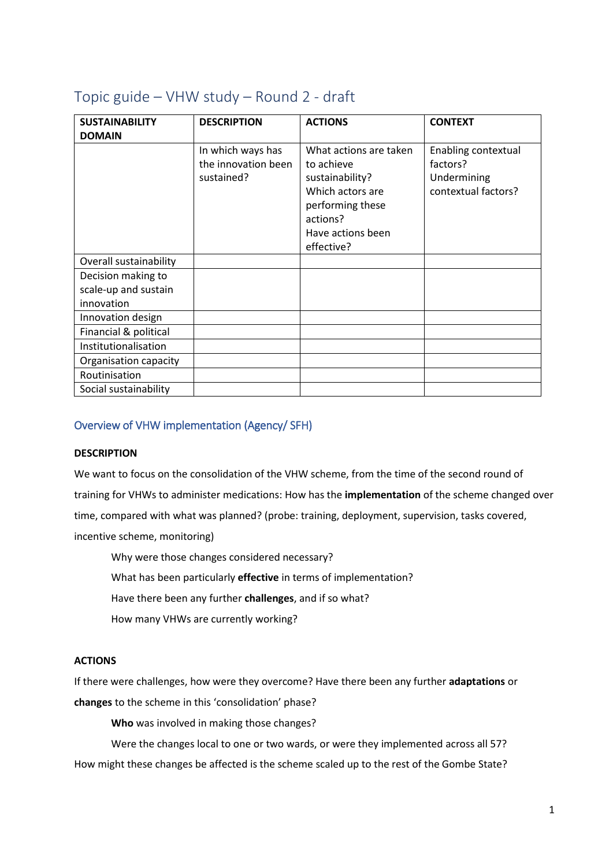| <b>SUSTAINABILITY</b>                                    | <b>DESCRIPTION</b>                                     | <b>ACTIONS</b>                                                                                                                                 | <b>CONTEXT</b>                                                        |
|----------------------------------------------------------|--------------------------------------------------------|------------------------------------------------------------------------------------------------------------------------------------------------|-----------------------------------------------------------------------|
| <b>DOMAIN</b>                                            |                                                        |                                                                                                                                                |                                                                       |
|                                                          | In which ways has<br>the innovation been<br>sustained? | What actions are taken<br>to achieve<br>sustainability?<br>Which actors are<br>performing these<br>actions?<br>Have actions been<br>effective? | Enabling contextual<br>factors?<br>Undermining<br>contextual factors? |
| Overall sustainability                                   |                                                        |                                                                                                                                                |                                                                       |
| Decision making to<br>scale-up and sustain<br>innovation |                                                        |                                                                                                                                                |                                                                       |
| Innovation design                                        |                                                        |                                                                                                                                                |                                                                       |
| Financial & political                                    |                                                        |                                                                                                                                                |                                                                       |
| Institutionalisation                                     |                                                        |                                                                                                                                                |                                                                       |
| Organisation capacity                                    |                                                        |                                                                                                                                                |                                                                       |
| Routinisation                                            |                                                        |                                                                                                                                                |                                                                       |
| Social sustainability                                    |                                                        |                                                                                                                                                |                                                                       |

# Topic guide – VHW study – Round 2 - draft

# Overview of VHW implementation (Agency/ SFH)

# **DESCRIPTION**

We want to focus on the consolidation of the VHW scheme, from the time of the second round of training for VHWs to administer medications: How has the **implementation** of the scheme changed over time, compared with what was planned? (probe: training, deployment, supervision, tasks covered, incentive scheme, monitoring)

Why were those changes considered necessary?

What has been particularly **effective** in terms of implementation?

Have there been any further **challenges**, and if so what?

How many VHWs are currently working?

# **ACTIONS**

If there were challenges, how were they overcome? Have there been any further **adaptations** or **changes** to the scheme in this 'consolidation' phase?

**Who** was involved in making those changes?

Were the changes local to one or two wards, or were they implemented across all 57? How might these changes be affected is the scheme scaled up to the rest of the Gombe State?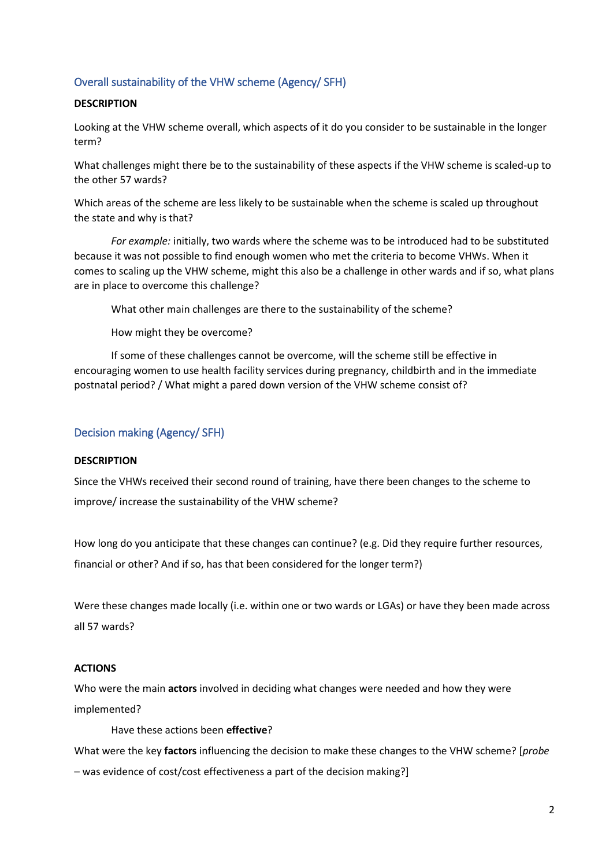# Overall sustainability of the VHW scheme (Agency/ SFH)

# **DESCRIPTION**

Looking at the VHW scheme overall, which aspects of it do you consider to be sustainable in the longer term?

What challenges might there be to the sustainability of these aspects if the VHW scheme is scaled-up to the other 57 wards?

Which areas of the scheme are less likely to be sustainable when the scheme is scaled up throughout the state and why is that?

*For example:* initially, two wards where the scheme was to be introduced had to be substituted because it was not possible to find enough women who met the criteria to become VHWs. When it comes to scaling up the VHW scheme, might this also be a challenge in other wards and if so, what plans are in place to overcome this challenge?

What other main challenges are there to the sustainability of the scheme?

How might they be overcome?

If some of these challenges cannot be overcome, will the scheme still be effective in encouraging women to use health facility services during pregnancy, childbirth and in the immediate postnatal period? / What might a pared down version of the VHW scheme consist of?

# Decision making (Agency/ SFH)

### **DESCRIPTION**

Since the VHWs received their second round of training, have there been changes to the scheme to improve/ increase the sustainability of the VHW scheme?

How long do you anticipate that these changes can continue? (e.g. Did they require further resources, financial or other? And if so, has that been considered for the longer term?)

Were these changes made locally (i.e. within one or two wards or LGAs) or have they been made across all 57 wards?

### **ACTIONS**

Who were the main **actors** involved in deciding what changes were needed and how they were implemented?

Have these actions been **effective**?

What were the key **factors** influencing the decision to make these changes to the VHW scheme? [*probe* 

– was evidence of cost/cost effectiveness a part of the decision making?]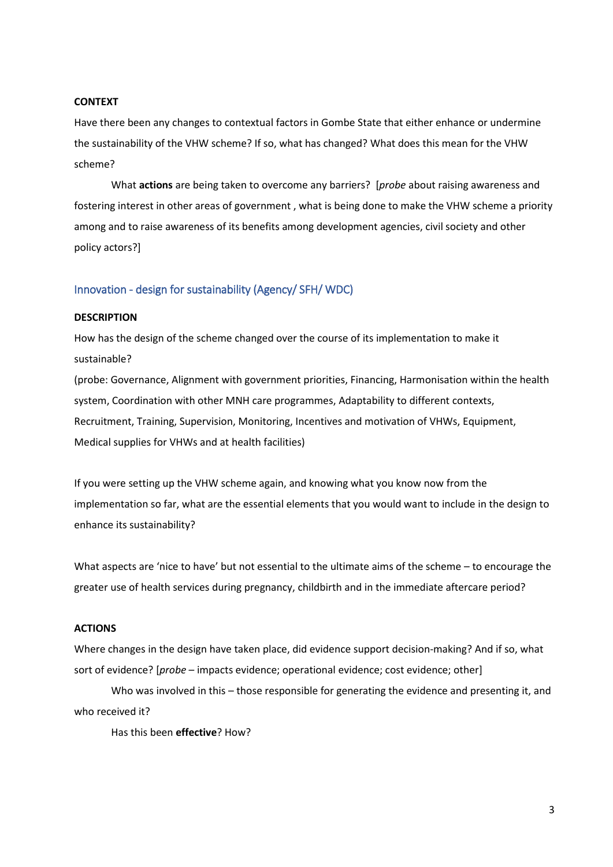#### **CONTEXT**

Have there been any changes to contextual factors in Gombe State that either enhance or undermine the sustainability of the VHW scheme? If so, what has changed? What does this mean for the VHW scheme?

What **actions** are being taken to overcome any barriers? [*probe* about raising awareness and fostering interest in other areas of government , what is being done to make the VHW scheme a priority among and to raise awareness of its benefits among development agencies, civil society and other policy actors?]

### Innovation - design for sustainability (Agency/ SFH/ WDC)

#### **DESCRIPTION**

How has the design of the scheme changed over the course of its implementation to make it sustainable?

(probe: Governance, Alignment with government priorities, Financing, Harmonisation within the health system, Coordination with other MNH care programmes, Adaptability to different contexts, Recruitment, Training, Supervision, Monitoring, Incentives and motivation of VHWs, Equipment, Medical supplies for VHWs and at health facilities)

If you were setting up the VHW scheme again, and knowing what you know now from the implementation so far, what are the essential elements that you would want to include in the design to enhance its sustainability?

What aspects are 'nice to have' but not essential to the ultimate aims of the scheme – to encourage the greater use of health services during pregnancy, childbirth and in the immediate aftercare period?

### **ACTIONS**

Where changes in the design have taken place, did evidence support decision-making? And if so, what sort of evidence? [*probe* – impacts evidence; operational evidence; cost evidence; other]

Who was involved in this – those responsible for generating the evidence and presenting it, and who received it?

Has this been **effective**? How?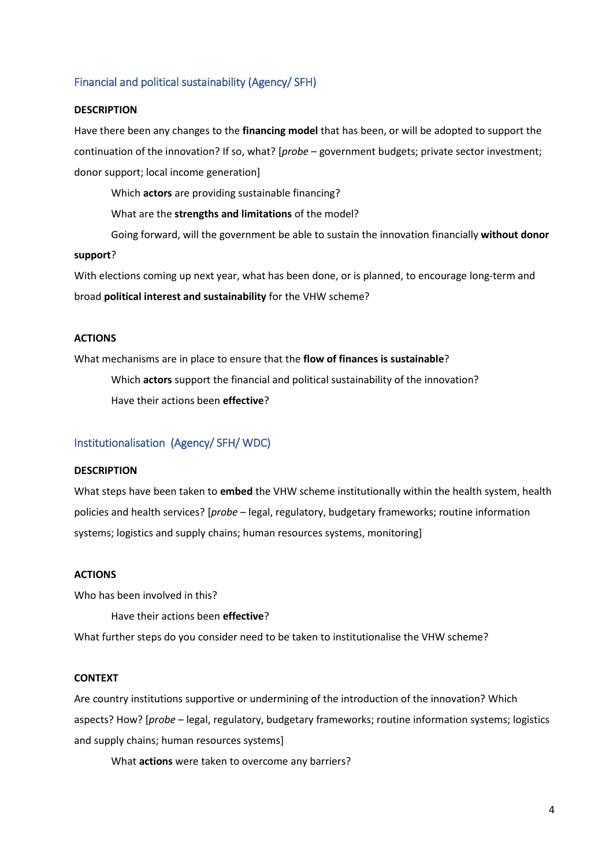# Financial and political sustainability (Agency/ SFH)

#### **DESCRIPTION**

Have there been any changes to the **financing model** that has been, or will be adopted to support the continuation of the innovation? If so, what? [*probe* – government budgets; private sector investment; donor support; local income generation]

Which **actors** are providing sustainable financing?

What are the **strengths and limitations** of the model?

Going forward, will the government be able to sustain the innovation financially **without donor** 

#### **support**?

With elections coming up next year, what has been done, or is planned, to encourage long-term and broad **political interest and sustainability** for the VHW scheme?

#### **ACTIONS**

What mechanisms are in place to ensure that the **flow of finances is sustainable**?

Which **actors** support the financial and political sustainability of the innovation? Have their actions been **effective**?

#### Institutionalisation (Agency/ SFH/ WDC)

#### **DESCRIPTION**

What steps have been taken to **embed** the VHW scheme institutionally within the health system, health policies and health services? [*probe* – legal, regulatory, budgetary frameworks; routine information systems; logistics and supply chains; human resources systems, monitoring]

#### **ACTIONS**

Who has been involved in this?

Have their actions been **effective**?

What further steps do you consider need to be taken to institutionalise the VHW scheme?

#### **CONTEXT**

Are country institutions supportive or undermining of the introduction of the innovation? Which aspects? How? [*probe* – legal, regulatory, budgetary frameworks; routine information systems; logistics and supply chains; human resources systems]

What **actions** were taken to overcome any barriers?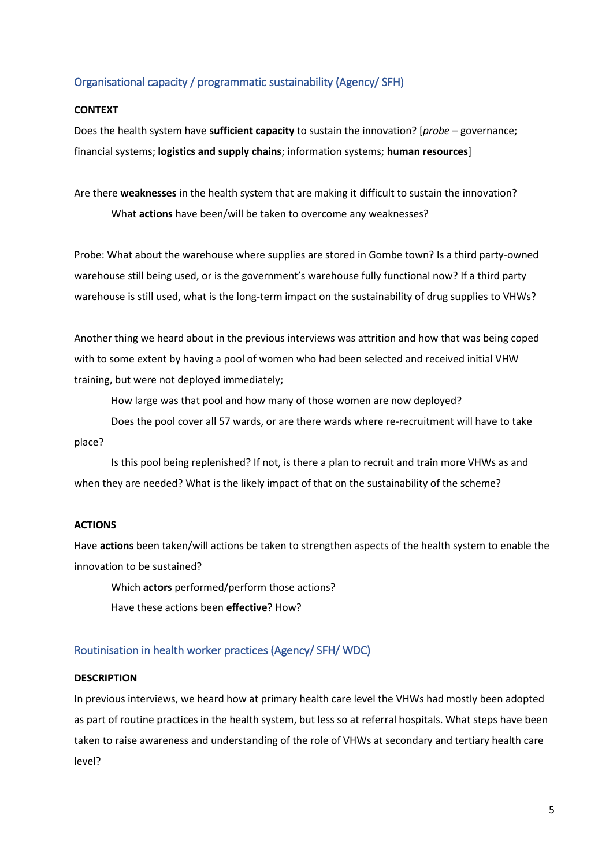# Organisational capacity / programmatic sustainability (Agency/ SFH)

#### **CONTEXT**

Does the health system have **sufficient capacity** to sustain the innovation? [*probe* – governance; financial systems; **logistics and supply chains**; information systems; **human resources**]

Are there **weaknesses** in the health system that are making it difficult to sustain the innovation? What **actions** have been/will be taken to overcome any weaknesses?

Probe: What about the warehouse where supplies are stored in Gombe town? Is a third party-owned warehouse still being used, or is the government's warehouse fully functional now? If a third party warehouse is still used, what is the long-term impact on the sustainability of drug supplies to VHWs?

Another thing we heard about in the previous interviews was attrition and how that was being coped with to some extent by having a pool of women who had been selected and received initial VHW training, but were not deployed immediately;

How large was that pool and how many of those women are now deployed?

Does the pool cover all 57 wards, or are there wards where re-recruitment will have to take place?

Is this pool being replenished? If not, is there a plan to recruit and train more VHWs as and when they are needed? What is the likely impact of that on the sustainability of the scheme?

# **ACTIONS**

Have **actions** been taken/will actions be taken to strengthen aspects of the health system to enable the innovation to be sustained?

Which **actors** performed/perform those actions?

Have these actions been **effective**? How?

### Routinisation in health worker practices (Agency/ SFH/ WDC)

#### **DESCRIPTION**

In previous interviews, we heard how at primary health care level the VHWs had mostly been adopted as part of routine practices in the health system, but less so at referral hospitals. What steps have been taken to raise awareness and understanding of the role of VHWs at secondary and tertiary health care level?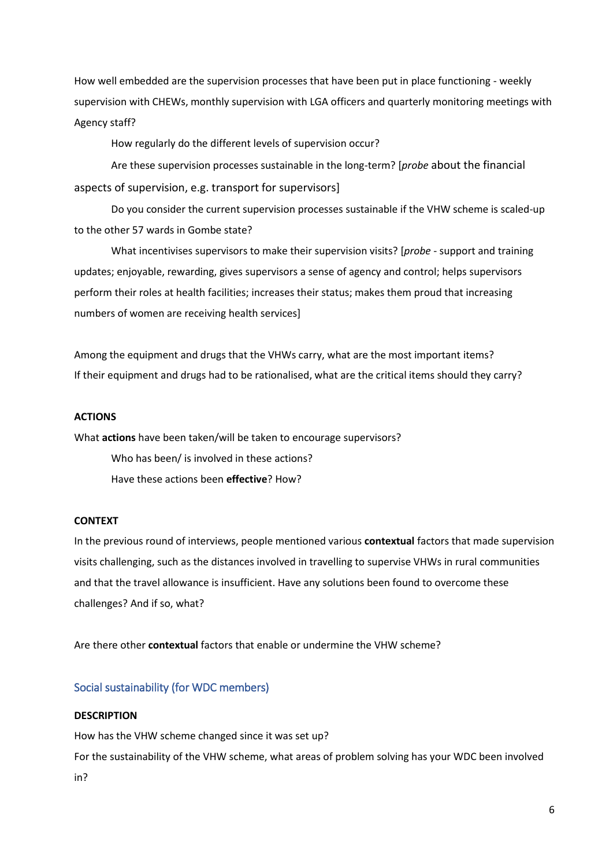How well embedded are the supervision processes that have been put in place functioning - weekly supervision with CHEWs, monthly supervision with LGA officers and quarterly monitoring meetings with Agency staff?

How regularly do the different levels of supervision occur?

Are these supervision processes sustainable in the long-term? [*probe* about the financial aspects of supervision, e.g. transport for supervisors]

Do you consider the current supervision processes sustainable if the VHW scheme is scaled-up to the other 57 wards in Gombe state?

What incentivises supervisors to make their supervision visits? [*probe* - support and training updates; enjoyable, rewarding, gives supervisors a sense of agency and control; helps supervisors perform their roles at health facilities; increases their status; makes them proud that increasing numbers of women are receiving health services]

Among the equipment and drugs that the VHWs carry, what are the most important items? If their equipment and drugs had to be rationalised, what are the critical items should they carry?

# **ACTIONS**

What **actions** have been taken/will be taken to encourage supervisors?

Who has been/ is involved in these actions?

Have these actions been **effective**? How?

### **CONTEXT**

In the previous round of interviews, people mentioned various **contextual** factors that made supervision visits challenging, such as the distances involved in travelling to supervise VHWs in rural communities and that the travel allowance is insufficient. Have any solutions been found to overcome these challenges? And if so, what?

Are there other **contextual** factors that enable or undermine the VHW scheme?

# Social sustainability (for WDC members)

### **DESCRIPTION**

How has the VHW scheme changed since it was set up?

For the sustainability of the VHW scheme, what areas of problem solving has your WDC been involved in?